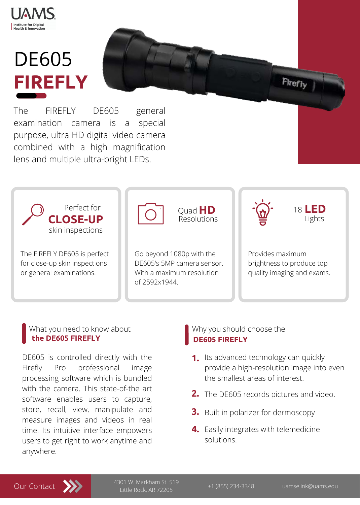

**Institute for Digital Health & Innovation** 

The FIREFLY DE605 general examination camera is a special purpose, ultra HD digital video camera combined with a high magnification lens and multiple ultra-bright LEDs.

# DE605 **FIREFLY**



The FIREFLY DE605 is perfect for close-up skin inspections or general examinations.

Go beyond 1080p with the DE605's 5MP camera sensor. With a maximum resolution of 2592x1944.

Provides maximum brightness to produce top quality imaging and exams.

Quad **HD**

Resolutions

<sup>18</sup> **LED**

Lights



Why you should choose the

# **DE605 FIREFLY**



- **1.** Its advanced technology can quickly provide a high-resolution image into even the smallest areas of interest.
- **2.** The DE605 records pictures and video.
- **3.** Built in polarizer for dermoscopy
- **4.** Easily integrates with telemedicine solutions.

+1 (855) 234-3348 uamselink@uams.edu 4301 W. Markham St. 519 Little Rock, AR 72205

DE605 is controlled directly with the Firefly Pro professional image processing software which is bundled with the camera. This state-of-the art software enables users to capture, store, recall, view, manipulate and measure images and videos in real time. Its intuitive interface empowers users to get right to work anytime and anywhere.